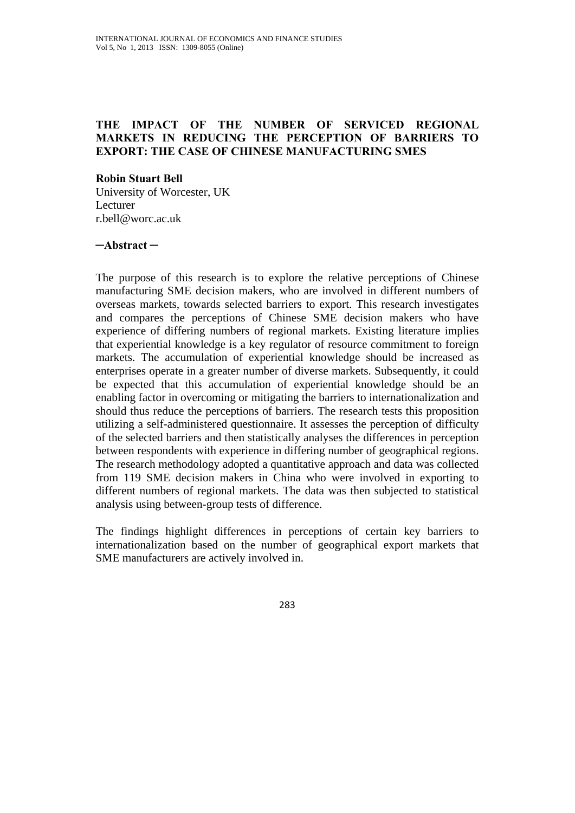# **THE IMPACT OF THE NUMBER OF SERVICED REGIONAL MARKETS IN REDUCING THE PERCEPTION OF BARRIERS TO EXPORT: THE CASE OF CHINESE MANUFACTURING SMES**

#### **Robin Stuart Bell**

University of Worcester, UK Lecturer r.bell@worc.ac.uk

#### **─Abstract ─**

The purpose of this research is to explore the relative perceptions of Chinese manufacturing SME decision makers, who are involved in different numbers of overseas markets, towards selected barriers to export. This research investigates and compares the perceptions of Chinese SME decision makers who have experience of differing numbers of regional markets. Existing literature implies that experiential knowledge is a key regulator of resource commitment to foreign markets. The accumulation of experiential knowledge should be increased as enterprises operate in a greater number of diverse markets. Subsequently, it could be expected that this accumulation of experiential knowledge should be an enabling factor in overcoming or mitigating the barriers to internationalization and should thus reduce the perceptions of barriers. The research tests this proposition utilizing a self-administered questionnaire. It assesses the perception of difficulty of the selected barriers and then statistically analyses the differences in perception between respondents with experience in differing number of geographical regions. The research methodology adopted a quantitative approach and data was collected from 119 SME decision makers in China who were involved in exporting to different numbers of regional markets. The data was then subjected to statistical analysis using between-group tests of difference.

The findings highlight differences in perceptions of certain key barriers to internationalization based on the number of geographical export markets that SME manufacturers are actively involved in.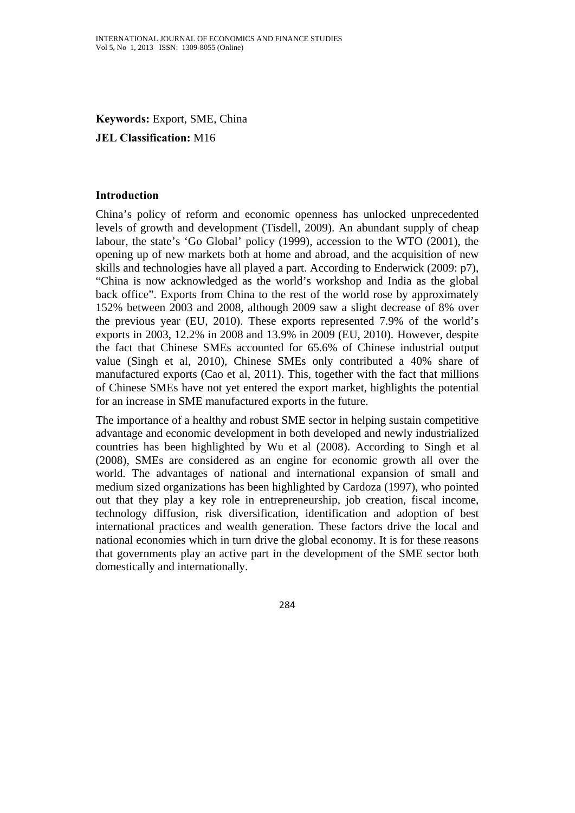**Keywords:** Export, SME, China

# **JEL Classification:** M16

#### **Introduction**

China's policy of reform and economic openness has unlocked unprecedented levels of growth and development (Tisdell, 2009). An abundant supply of cheap labour, the state's 'Go Global' policy (1999), accession to the WTO (2001), the opening up of new markets both at home and abroad, and the acquisition of new skills and technologies have all played a part. According to Enderwick (2009: p7), "China is now acknowledged as the world's workshop and India as the global back office". Exports from China to the rest of the world rose by approximately 152% between 2003 and 2008, although 2009 saw a slight decrease of 8% over the previous year (EU, 2010). These exports represented 7.9% of the world's exports in 2003, 12.2% in 2008 and 13.9% in 2009 (EU, 2010). However, despite the fact that Chinese SMEs accounted for 65.6% of Chinese industrial output value (Singh et al, 2010), Chinese SMEs only contributed a 40% share of manufactured exports (Cao et al, 2011). This, together with the fact that millions of Chinese SMEs have not yet entered the export market, highlights the potential for an increase in SME manufactured exports in the future.

The importance of a healthy and robust SME sector in helping sustain competitive advantage and economic development in both developed and newly industrialized countries has been highlighted by Wu et al (2008). According to Singh et al (2008), SMEs are considered as an engine for economic growth all over the world. The advantages of national and international expansion of small and medium sized organizations has been highlighted by Cardoza (1997), who pointed out that they play a key role in entrepreneurship, job creation, fiscal income, technology diffusion, risk diversification, identification and adoption of best international practices and wealth generation. These factors drive the local and national economies which in turn drive the global economy. It is for these reasons that governments play an active part in the development of the SME sector both domestically and internationally.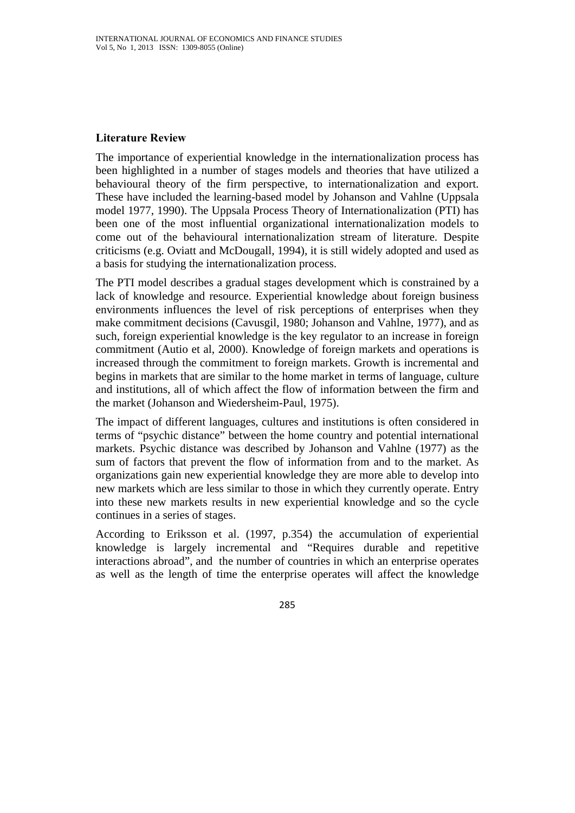# **Literature Review**

The importance of experiential knowledge in the internationalization process has been highlighted in a number of stages models and theories that have utilized a behavioural theory of the firm perspective, to internationalization and export. These have included the learning-based model by Johanson and Vahlne (Uppsala model 1977, 1990). The Uppsala Process Theory of Internationalization (PTI) has been one of the most influential organizational internationalization models to come out of the behavioural internationalization stream of literature. Despite criticisms (e.g. Oviatt and McDougall, 1994), it is still widely adopted and used as a basis for studying the internationalization process.

The PTI model describes a gradual stages development which is constrained by a lack of knowledge and resource. Experiential knowledge about foreign business environments influences the level of risk perceptions of enterprises when they make commitment decisions (Cavusgil, 1980; Johanson and Vahlne, 1977), and as such, foreign experiential knowledge is the key regulator to an increase in foreign commitment (Autio et al, 2000). Knowledge of foreign markets and operations is increased through the commitment to foreign markets. Growth is incremental and begins in markets that are similar to the home market in terms of language, culture and institutions, all of which affect the flow of information between the firm and the market (Johanson and Wiedersheim-Paul, 1975).

The impact of different languages, cultures and institutions is often considered in terms of "psychic distance" between the home country and potential international markets. Psychic distance was described by Johanson and Vahlne (1977) as the sum of factors that prevent the flow of information from and to the market. As organizations gain new experiential knowledge they are more able to develop into new markets which are less similar to those in which they currently operate. Entry into these new markets results in new experiential knowledge and so the cycle continues in a series of stages.

According to Eriksson et al. (1997, p.354) the accumulation of experiential knowledge is largely incremental and "Requires durable and repetitive interactions abroad", and the number of countries in which an enterprise operates as well as the length of time the enterprise operates will affect the knowledge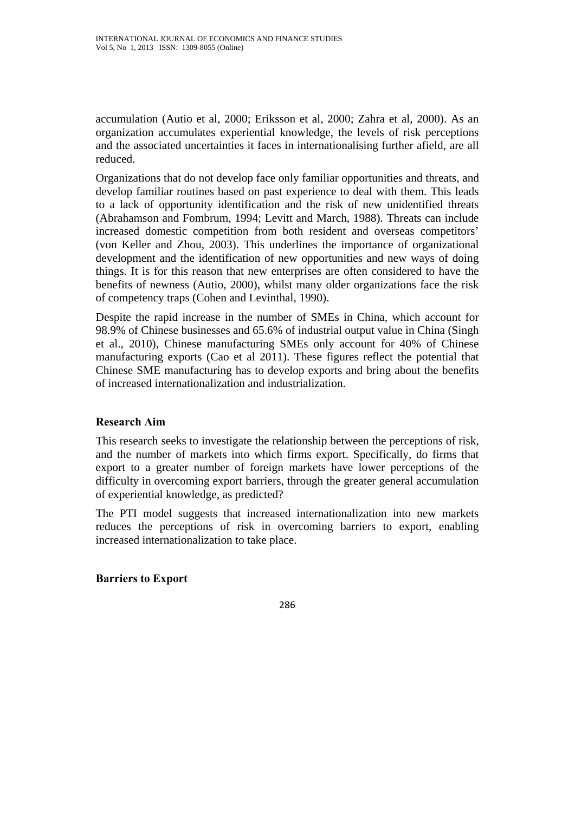accumulation (Autio et al, 2000; Eriksson et al, 2000; Zahra et al, 2000). As an organization accumulates experiential knowledge, the levels of risk perceptions and the associated uncertainties it faces in internationalising further afield, are all reduced.

Organizations that do not develop face only familiar opportunities and threats, and develop familiar routines based on past experience to deal with them. This leads to a lack of opportunity identification and the risk of new unidentified threats (Abrahamson and Fombrum, 1994; Levitt and March, 1988). Threats can include increased domestic competition from both resident and overseas competitors' (von Keller and Zhou, 2003). This underlines the importance of organizational development and the identification of new opportunities and new ways of doing things. It is for this reason that new enterprises are often considered to have the benefits of newness (Autio, 2000), whilst many older organizations face the risk of competency traps (Cohen and Levinthal, 1990).

Despite the rapid increase in the number of SMEs in China, which account for 98.9% of Chinese businesses and 65.6% of industrial output value in China (Singh et al., 2010), Chinese manufacturing SMEs only account for 40% of Chinese manufacturing exports (Cao et al 2011). These figures reflect the potential that Chinese SME manufacturing has to develop exports and bring about the benefits of increased internationalization and industrialization.

### **Research Aim**

This research seeks to investigate the relationship between the perceptions of risk, and the number of markets into which firms export. Specifically, do firms that export to a greater number of foreign markets have lower perceptions of the difficulty in overcoming export barriers, through the greater general accumulation of experiential knowledge, as predicted?

The PTI model suggests that increased internationalization into new markets reduces the perceptions of risk in overcoming barriers to export, enabling increased internationalization to take place.

### **Barriers to Export**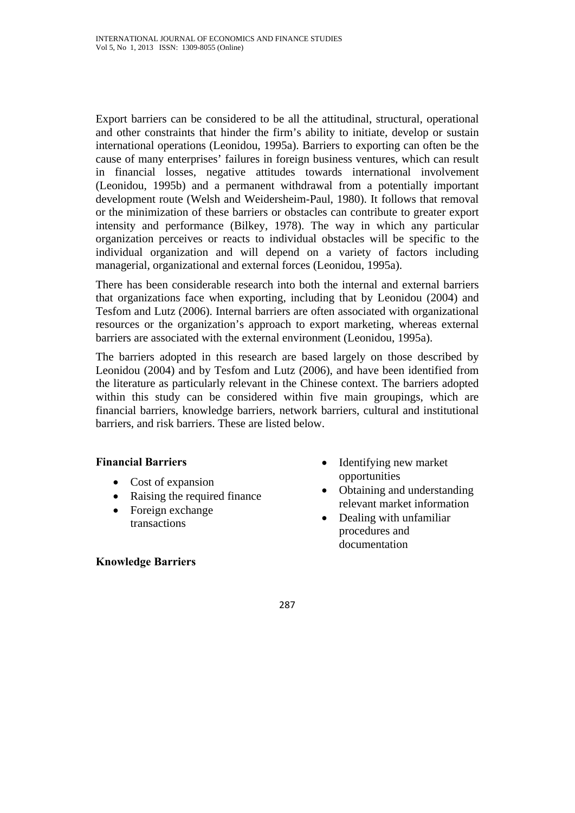Export barriers can be considered to be all the attitudinal, structural, operational and other constraints that hinder the firm's ability to initiate, develop or sustain international operations (Leonidou, 1995a). Barriers to exporting can often be the cause of many enterprises' failures in foreign business ventures, which can result in financial losses, negative attitudes towards international involvement (Leonidou, 1995b) and a permanent withdrawal from a potentially important development route (Welsh and Weidersheim-Paul, 1980). It follows that removal or the minimization of these barriers or obstacles can contribute to greater export intensity and performance (Bilkey, 1978). The way in which any particular organization perceives or reacts to individual obstacles will be specific to the individual organization and will depend on a variety of factors including managerial, organizational and external forces (Leonidou, 1995a).

There has been considerable research into both the internal and external barriers that organizations face when exporting, including that by Leonidou (2004) and Tesfom and Lutz (2006). Internal barriers are often associated with organizational resources or the organization's approach to export marketing, whereas external barriers are associated with the external environment (Leonidou, 1995a).

The barriers adopted in this research are based largely on those described by Leonidou (2004) and by Tesfom and Lutz (2006), and have been identified from the literature as particularly relevant in the Chinese context. The barriers adopted within this study can be considered within five main groupings, which are financial barriers, knowledge barriers, network barriers, cultural and institutional barriers, and risk barriers. These are listed below.

# **Financial Barriers**

- Cost of expansion
- Raising the required finance
- Foreign exchange transactions

### **Knowledge Barriers**

- Identifying new market opportunities
- Obtaining and understanding relevant market information
- Dealing with unfamiliar procedures and documentation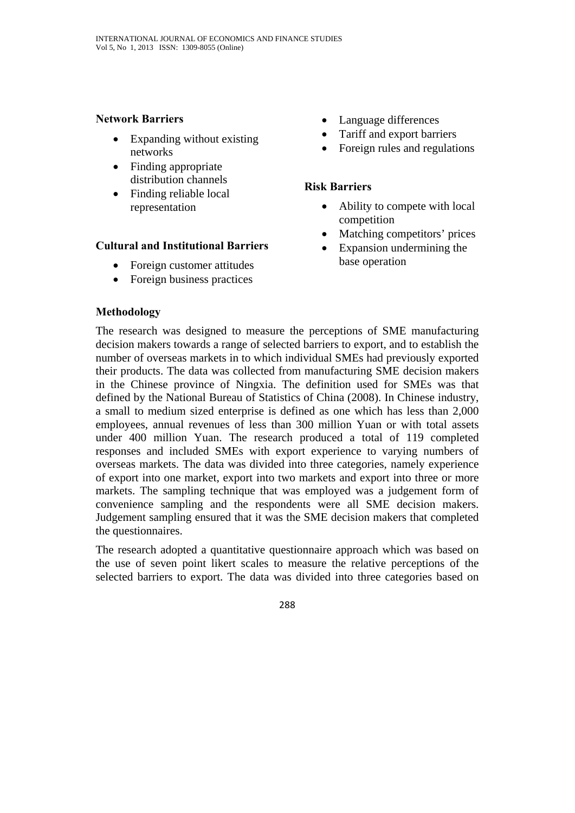### **Network Barriers**

- Expanding without existing networks
- Finding appropriate distribution channels
- Finding reliable local representation

# **Cultural and Institutional Barriers**

- Foreign customer attitudes
- Foreign business practices
- Language differences
- Tariff and export barriers
- Foreign rules and regulations

# **Risk Barriers**

- Ability to compete with local competition
- Matching competitors' prices
- Expansion undermining the base operation

# **Methodology**

The research was designed to measure the perceptions of SME manufacturing decision makers towards a range of selected barriers to export, and to establish the number of overseas markets in to which individual SMEs had previously exported their products. The data was collected from manufacturing SME decision makers in the Chinese province of Ningxia. The definition used for SMEs was that defined by the National Bureau of Statistics of China (2008). In Chinese industry, a small to medium sized enterprise is defined as one which has less than 2,000 employees, annual revenues of less than 300 million Yuan or with total assets under 400 million Yuan. The research produced a total of 119 completed responses and included SMEs with export experience to varying numbers of overseas markets. The data was divided into three categories, namely experience of export into one market, export into two markets and export into three or more markets. The sampling technique that was employed was a judgement form of convenience sampling and the respondents were all SME decision makers. Judgement sampling ensured that it was the SME decision makers that completed the questionnaires.

The research adopted a quantitative questionnaire approach which was based on the use of seven point likert scales to measure the relative perceptions of the selected barriers to export. The data was divided into three categories based on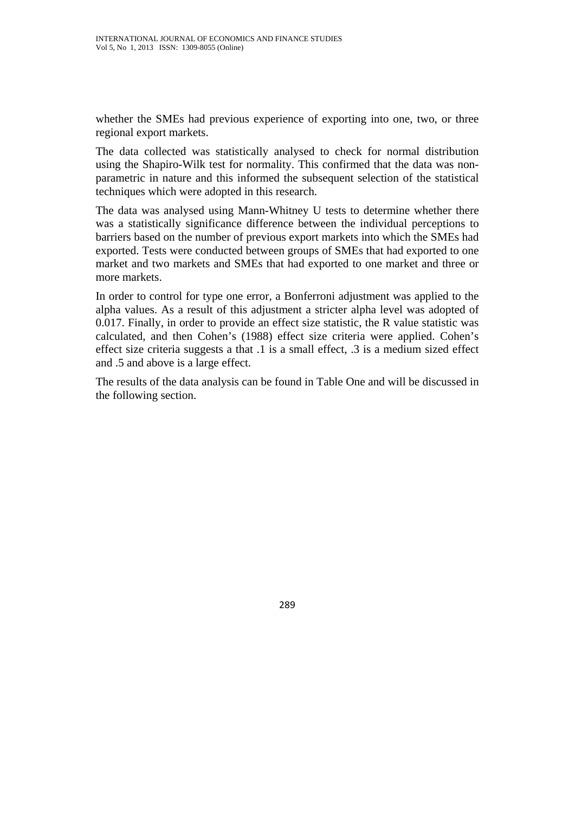whether the SMEs had previous experience of exporting into one, two, or three regional export markets.

The data collected was statistically analysed to check for normal distribution using the Shapiro-Wilk test for normality. This confirmed that the data was nonparametric in nature and this informed the subsequent selection of the statistical techniques which were adopted in this research.

The data was analysed using Mann-Whitney U tests to determine whether there was a statistically significance difference between the individual perceptions to barriers based on the number of previous export markets into which the SMEs had exported. Tests were conducted between groups of SMEs that had exported to one market and two markets and SMEs that had exported to one market and three or more markets.

In order to control for type one error, a Bonferroni adjustment was applied to the alpha values. As a result of this adjustment a stricter alpha level was adopted of 0.017. Finally, in order to provide an effect size statistic, the R value statistic was calculated, and then Cohen's (1988) effect size criteria were applied. Cohen's effect size criteria suggests a that .1 is a small effect, .3 is a medium sized effect and .5 and above is a large effect.

The results of the data analysis can be found in Table One and will be discussed in the following section.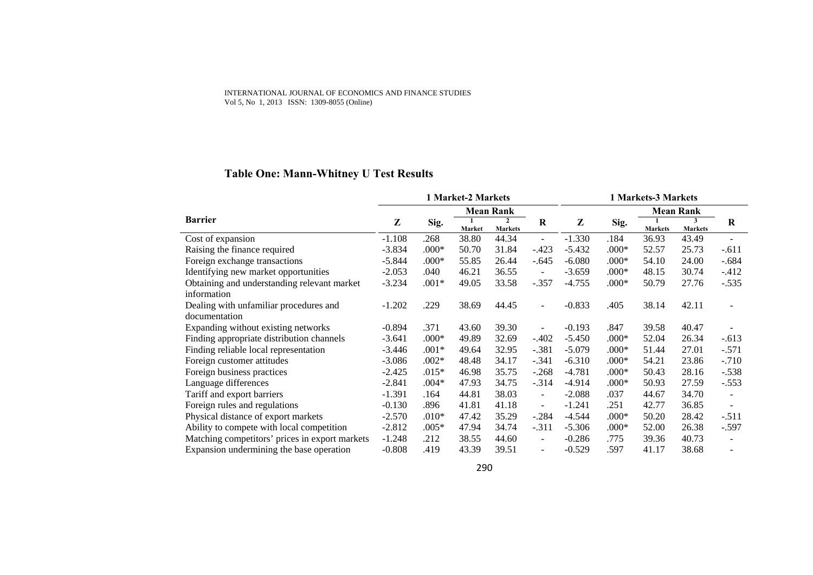#### INTERNATIONAL JOURNAL OF ECONOMICS AND FINANCE STUDIES Vol 5, No 1, 2013 ISSN: 1309-8055 (Online)

# **Table One: Mann-Whitney U Test Results**

|                                                | 1 Market-2 Markets |                  |               |                                  |                          | 1 Markets-3 Markets |         |                |                     |                          |
|------------------------------------------------|--------------------|------------------|---------------|----------------------------------|--------------------------|---------------------|---------|----------------|---------------------|--------------------------|
|                                                |                    | <b>Mean Rank</b> |               |                                  | <b>Mean Rank</b>         |                     |         |                |                     |                          |
| <b>Barrier</b>                                 | Z                  | Sig.             | <b>Market</b> | $\overline{2}$<br><b>Markets</b> | R                        | Z                   | Sig.    | <b>Markets</b> | 3<br><b>Markets</b> | R                        |
| Cost of expansion                              | $-1.108$           | .268             | 38.80         | 44.34                            | $\overline{\phantom{a}}$ | $-1.330$            | .184    | 36.93          | 43.49               |                          |
| Raising the finance required                   | $-3.834$           | $.000*$          | 50.70         | 31.84                            | $-.423$                  | $-5.432$            | $.000*$ | 52.57          | 25.73               | $-.611$                  |
| Foreign exchange transactions                  | $-5.844$           | $.000*$          | 55.85         | 26.44                            | $-.645$                  | $-6.080$            | $.000*$ | 54.10          | 24.00               | $-.684$                  |
| Identifying new market opportunities           | $-2.053$           | .040             | 46.21         | 36.55                            | $\blacksquare$           | $-3.659$            | $.000*$ | 48.15          | 30.74               | $-.412$                  |
| Obtaining and understanding relevant market    | $-3.234$           | $.001*$          | 49.05         | 33.58                            | $-.357$                  | $-4.755$            | $.000*$ | 50.79          | 27.76               | $-.535$                  |
| information                                    |                    |                  |               |                                  |                          |                     |         |                |                     |                          |
| Dealing with unfamiliar procedures and         | $-1.202$           | .229             | 38.69         | 44.45                            | $\overline{\phantom{a}}$ | $-0.833$            | .405    | 38.14          | 42.11               |                          |
| documentation                                  |                    |                  |               |                                  |                          |                     |         |                |                     |                          |
| Expanding without existing networks            | $-0.894$           | .371             | 43.60         | 39.30                            | $\overline{\phantom{a}}$ | $-0.193$            | .847    | 39.58          | 40.47               |                          |
| Finding appropriate distribution channels      | $-3.641$           | $.000*$          | 49.89         | 32.69                            | $-.402$                  | $-5.450$            | $.000*$ | 52.04          | 26.34               | $-.613$                  |
| Finding reliable local representation          | $-3.446$           | $.001*$          | 49.64         | 32.95                            | $-.381$                  | $-5.079$            | $.000*$ | 51.44          | 27.01               | $-.571$                  |
| Foreign customer attitudes                     | $-3.086$           | $.002*$          | 48.48         | 34.17                            | $-.341$                  | $-6.310$            | $.000*$ | 54.21          | 23.86               | $-.710$                  |
| Foreign business practices                     | $-2.425$           | $.015*$          | 46.98         | 35.75                            | $-.268$                  | $-4.781$            | $.000*$ | 50.43          | 28.16               | $-.538$                  |
| Language differences                           | $-2.841$           | $.004*$          | 47.93         | 34.75                            | $-.314$                  | $-4.914$            | $.000*$ | 50.93          | 27.59               | $-.553$                  |
| Tariff and export barriers                     | $-1.391$           | .164             | 44.81         | 38.03                            | $\blacksquare$           | $-2.088$            | .037    | 44.67          | 34.70               | $\overline{\phantom{a}}$ |
| Foreign rules and regulations                  | $-0.130$           | .896             | 41.81         | 41.18                            | $\blacksquare$           | $-1.241$            | .251    | 42.77          | 36.85               | $\blacksquare$           |
| Physical distance of export markets            | $-2.570$           | $.010*$          | 47.42         | 35.29                            | $-.284$                  | $-4.544$            | $.000*$ | 50.20          | 28.42               | $-.511$                  |
| Ability to compete with local competition      | $-2.812$           | $.005*$          | 47.94         | 34.74                            | $-.311$                  | $-5.306$            | $.000*$ | 52.00          | 26.38               | $-.597$                  |
| Matching competitors' prices in export markets | $-1.248$           | .212             | 38.55         | 44.60                            | $\sim$                   | $-0.286$            | .775    | 39.36          | 40.73               |                          |
| Expansion undermining the base operation       | $-0.808$           | .419             | 43.39         | 39.51                            | $\blacksquare$           | $-0.529$            | .597    | 41.17          | 38.68               | -                        |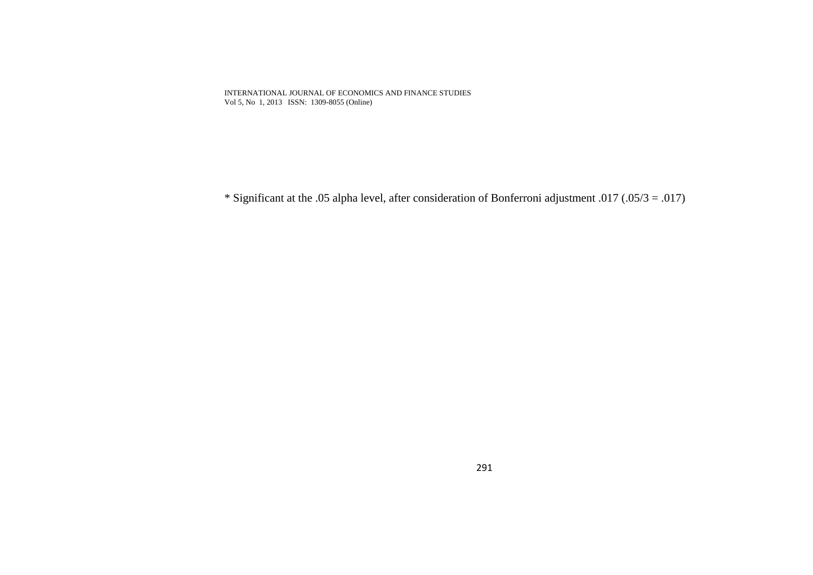INTERNATIONAL JOURNAL OF ECONOMICS AND FINANCE STUDIES Vol 5, No 1, 2013 ISSN: 1309-8055 (Online)

\* Significant at the .05 alpha level, after consideration of Bonferroni adjustment .017 (.05/3 = .017)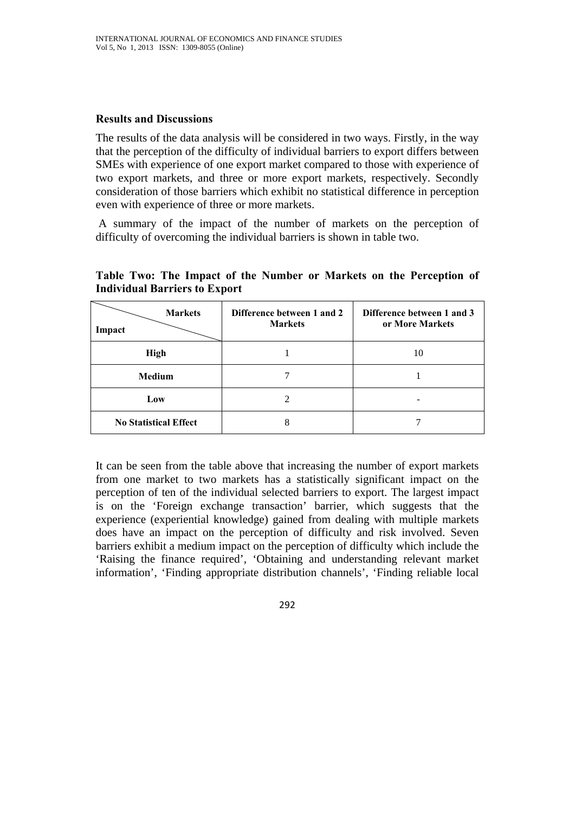#### **Results and Discussions**

The results of the data analysis will be considered in two ways. Firstly, in the way that the perception of the difficulty of individual barriers to export differs between SMEs with experience of one export market compared to those with experience of two export markets, and three or more export markets, respectively. Secondly consideration of those barriers which exhibit no statistical difference in perception even with experience of three or more markets.

 A summary of the impact of the number of markets on the perception of difficulty of overcoming the individual barriers is shown in table two.

| <b>Markets</b><br>Impact     | Difference between 1 and 2<br><b>Markets</b> | Difference between 1 and 3<br>or More Markets |
|------------------------------|----------------------------------------------|-----------------------------------------------|
| <b>High</b>                  |                                              | 10                                            |
| <b>Medium</b>                |                                              |                                               |
| Low                          | $\mathcal{L}$                                |                                               |
| <b>No Statistical Effect</b> | 8                                            |                                               |

**Table Two: The Impact of the Number or Markets on the Perception of Individual Barriers to Export** 

It can be seen from the table above that increasing the number of export markets from one market to two markets has a statistically significant impact on the perception of ten of the individual selected barriers to export. The largest impact is on the 'Foreign exchange transaction' barrier, which suggests that the experience (experiential knowledge) gained from dealing with multiple markets does have an impact on the perception of difficulty and risk involved. Seven barriers exhibit a medium impact on the perception of difficulty which include the 'Raising the finance required', 'Obtaining and understanding relevant market information', 'Finding appropriate distribution channels', 'Finding reliable local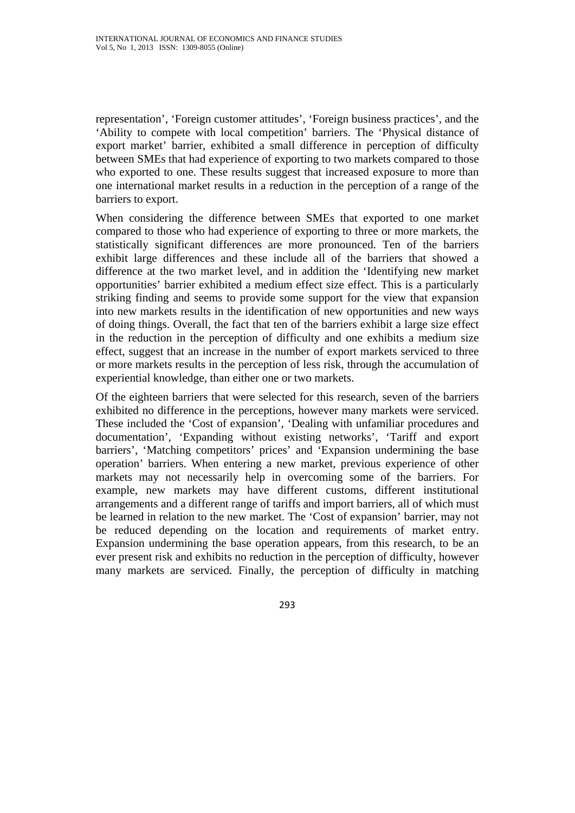representation', 'Foreign customer attitudes', 'Foreign business practices', and the 'Ability to compete with local competition' barriers. The 'Physical distance of export market' barrier, exhibited a small difference in perception of difficulty between SMEs that had experience of exporting to two markets compared to those who exported to one. These results suggest that increased exposure to more than one international market results in a reduction in the perception of a range of the barriers to export.

When considering the difference between SMEs that exported to one market compared to those who had experience of exporting to three or more markets, the statistically significant differences are more pronounced. Ten of the barriers exhibit large differences and these include all of the barriers that showed a difference at the two market level, and in addition the 'Identifying new market opportunities' barrier exhibited a medium effect size effect. This is a particularly striking finding and seems to provide some support for the view that expansion into new markets results in the identification of new opportunities and new ways of doing things. Overall, the fact that ten of the barriers exhibit a large size effect in the reduction in the perception of difficulty and one exhibits a medium size effect, suggest that an increase in the number of export markets serviced to three or more markets results in the perception of less risk, through the accumulation of experiential knowledge, than either one or two markets.

Of the eighteen barriers that were selected for this research, seven of the barriers exhibited no difference in the perceptions, however many markets were serviced. These included the 'Cost of expansion', 'Dealing with unfamiliar procedures and documentation', 'Expanding without existing networks', 'Tariff and export barriers', 'Matching competitors' prices' and 'Expansion undermining the base operation' barriers. When entering a new market, previous experience of other markets may not necessarily help in overcoming some of the barriers. For example, new markets may have different customs, different institutional arrangements and a different range of tariffs and import barriers, all of which must be learned in relation to the new market. The 'Cost of expansion' barrier, may not be reduced depending on the location and requirements of market entry. Expansion undermining the base operation appears, from this research, to be an ever present risk and exhibits no reduction in the perception of difficulty, however many markets are serviced. Finally, the perception of difficulty in matching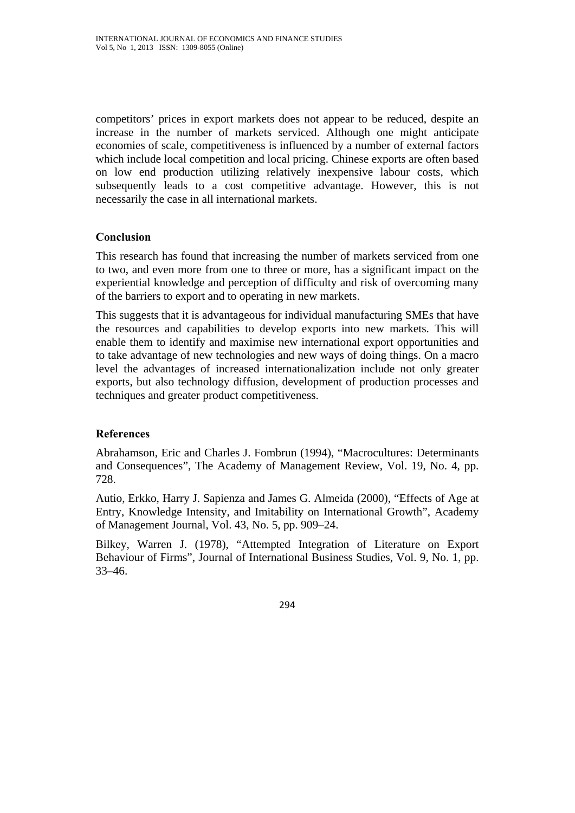competitors' prices in export markets does not appear to be reduced, despite an increase in the number of markets serviced. Although one might anticipate economies of scale, competitiveness is influenced by a number of external factors which include local competition and local pricing. Chinese exports are often based on low end production utilizing relatively inexpensive labour costs, which subsequently leads to a cost competitive advantage. However, this is not necessarily the case in all international markets.

# **Conclusion**

This research has found that increasing the number of markets serviced from one to two, and even more from one to three or more, has a significant impact on the experiential knowledge and perception of difficulty and risk of overcoming many of the barriers to export and to operating in new markets.

This suggests that it is advantageous for individual manufacturing SMEs that have the resources and capabilities to develop exports into new markets. This will enable them to identify and maximise new international export opportunities and to take advantage of new technologies and new ways of doing things. On a macro level the advantages of increased internationalization include not only greater exports, but also technology diffusion, development of production processes and techniques and greater product competitiveness.

### **References**

Abrahamson, Eric and Charles J. Fombrun (1994), "Macrocultures: Determinants and Consequences", The Academy of Management Review, Vol. 19, No. 4, pp. 728.

Autio, Erkko, Harry J. Sapienza and James G. Almeida (2000), "Effects of Age at Entry, Knowledge Intensity, and Imitability on International Growth", Academy of Management Journal, Vol. 43, No. 5, pp. 909–24.

Bilkey, Warren J. (1978), "Attempted Integration of Literature on Export Behaviour of Firms", Journal of International Business Studies, Vol. 9, No. 1, pp. 33–46.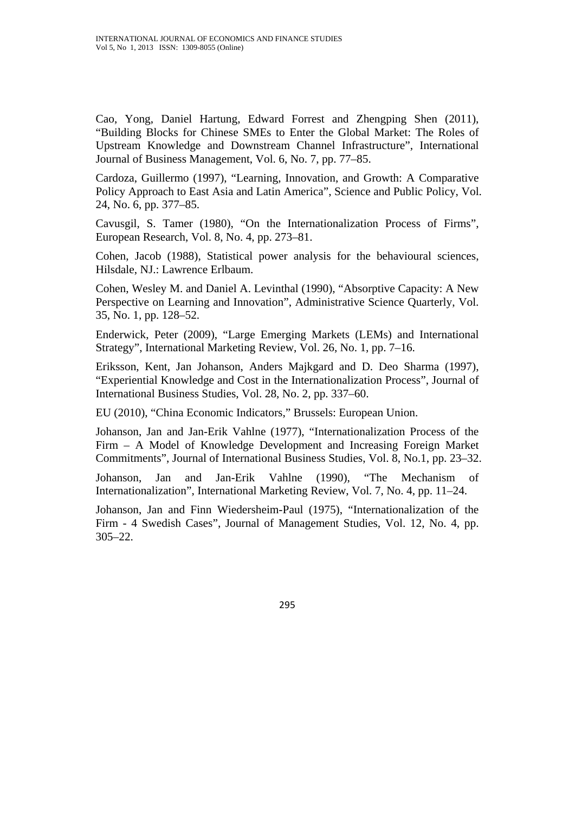Cao, Yong, Daniel Hartung, Edward Forrest and Zhengping Shen (2011), "Building Blocks for Chinese SMEs to Enter the Global Market: The Roles of Upstream Knowledge and Downstream Channel Infrastructure", International Journal of Business Management, Vol. 6, No. 7, pp. 77–85.

Cardoza, Guillermo (1997), "Learning, Innovation, and Growth: A Comparative Policy Approach to East Asia and Latin America", Science and Public Policy, Vol. 24, No. 6, pp. 377–85.

Cavusgil, S. Tamer (1980), "On the Internationalization Process of Firms", European Research, Vol. 8, No. 4, pp. 273–81.

Cohen, Jacob (1988), Statistical power analysis for the behavioural sciences, Hilsdale, NJ.: Lawrence Erlbaum.

Cohen, Wesley M. and Daniel A. Levinthal (1990), "Absorptive Capacity: A New Perspective on Learning and Innovation", Administrative Science Quarterly, Vol. 35, No. 1, pp. 128–52.

Enderwick, Peter (2009), "Large Emerging Markets (LEMs) and International Strategy", International Marketing Review, Vol. 26, No. 1, pp. 7–16.

Eriksson, Kent, Jan Johanson, Anders Majkgard and D. Deo Sharma (1997), "Experiential Knowledge and Cost in the Internationalization Process", Journal of International Business Studies, Vol. 28, No. 2, pp. 337–60.

EU (2010), "China Economic Indicators," Brussels: European Union.

Johanson, Jan and Jan-Erik Vahlne (1977), "Internationalization Process of the Firm – A Model of Knowledge Development and Increasing Foreign Market Commitments", Journal of International Business Studies, Vol. 8, No.1, pp. 23–32.

Johanson, Jan and Jan-Erik Vahlne (1990), "The Mechanism of Internationalization", International Marketing Review, Vol. 7, No. 4, pp. 11–24.

Johanson, Jan and Finn Wiedersheim-Paul (1975), "Internationalization of the Firm - 4 Swedish Cases", Journal of Management Studies, Vol. 12, No. 4, pp. 305–22.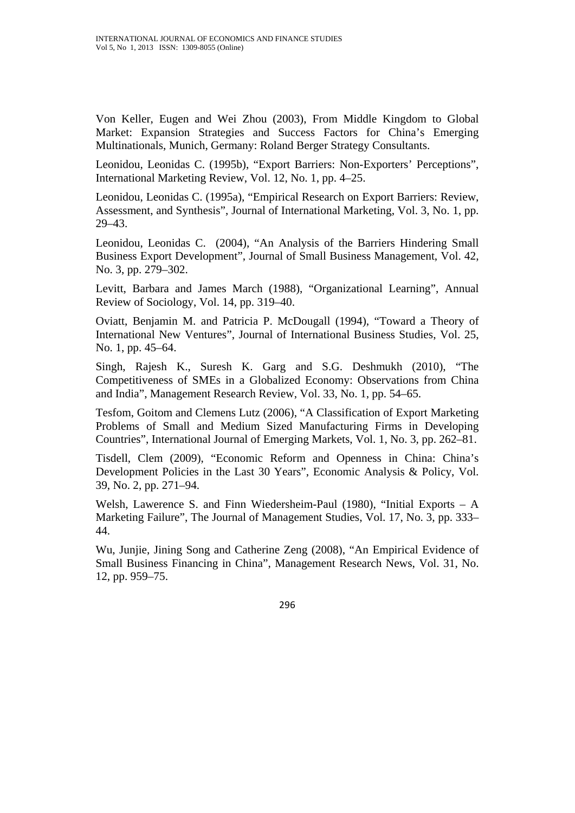Von Keller, Eugen and Wei Zhou (2003), From Middle Kingdom to Global Market: Expansion Strategies and Success Factors for China's Emerging Multinationals, Munich, Germany: Roland Berger Strategy Consultants.

Leonidou, Leonidas C. (1995b), "Export Barriers: Non-Exporters' Perceptions", International Marketing Review, Vol. 12, No. 1, pp. 4–25.

Leonidou, Leonidas C. (1995a), "Empirical Research on Export Barriers: Review, Assessment, and Synthesis", Journal of International Marketing, Vol. 3, No. 1, pp. 29–43.

Leonidou, Leonidas C. (2004), "An Analysis of the Barriers Hindering Small Business Export Development", Journal of Small Business Management, Vol. 42, No. 3, pp. 279–302.

Levitt, Barbara and James March (1988), "Organizational Learning", Annual Review of Sociology, Vol. 14, pp. 319–40.

Oviatt, Benjamin M. and Patricia P. McDougall (1994), "Toward a Theory of International New Ventures", Journal of International Business Studies, Vol. 25, No. 1, pp. 45–64.

Singh, Rajesh K., Suresh K. Garg and S.G. Deshmukh (2010), "The Competitiveness of SMEs in a Globalized Economy: Observations from China and India", Management Research Review, Vol. 33, No. 1, pp. 54–65.

Tesfom, Goitom and Clemens Lutz (2006), "A Classification of Export Marketing Problems of Small and Medium Sized Manufacturing Firms in Developing Countries", International Journal of Emerging Markets, Vol. 1, No. 3, pp. 262–81.

Tisdell, Clem (2009), "Economic Reform and Openness in China: China's Development Policies in the Last 30 Years", Economic Analysis & Policy, Vol. 39, No. 2, pp. 271–94.

Welsh, Lawerence S. and Finn Wiedersheim-Paul (1980), "Initial Exports – A Marketing Failure", The Journal of Management Studies, Vol. 17, No. 3, pp. 333– 44.

Wu, Junjie, Jining Song and Catherine Zeng (2008), "An Empirical Evidence of Small Business Financing in China", Management Research News, Vol. 31, No. 12, pp. 959–75.